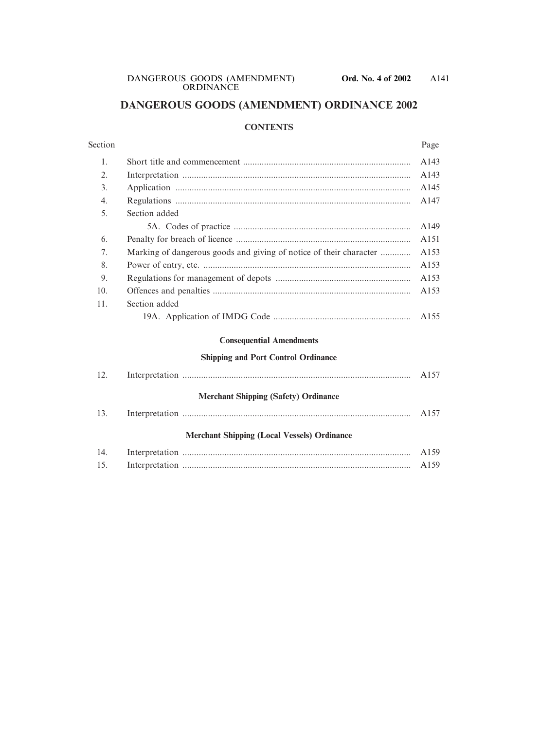# **DANGEROUS GOODS (AMENDMENT) ORDINANCE 2002**

#### **CONTENTS**

| Section |                                                                    | Page |
|---------|--------------------------------------------------------------------|------|
| 1.      |                                                                    | A143 |
| 2.      |                                                                    | A143 |
| 3.      |                                                                    | A145 |
| 4.      |                                                                    | A147 |
| 5.      | Section added                                                      |      |
|         |                                                                    | A149 |
| 6.      |                                                                    | A151 |
| 7.      | Marking of dangerous goods and giving of notice of their character | A153 |
| 8.      |                                                                    | A153 |
| 9.      |                                                                    | A153 |
| 10.     |                                                                    | A153 |
| 11.     | Section added                                                      |      |
|         |                                                                    | A155 |
|         | <b>Consequential Amendments</b>                                    |      |
|         | <b>Shipping and Port Control Ordinance</b>                         |      |
| 12.     |                                                                    | A157 |
|         | <b>Merchant Shipping (Safety) Ordinance</b>                        |      |
| 13.     |                                                                    | A157 |
|         | <b>Merchant Shipping (Local Vessels) Ordinance</b>                 |      |
| 14.     |                                                                    | A159 |
| 15.     |                                                                    | A159 |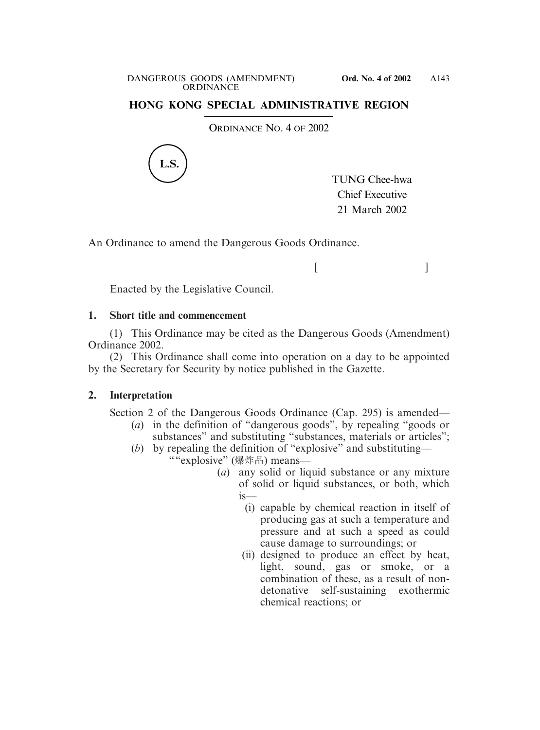### **HONG KONG SPECIAL ADMINISTRATIVE REGION**

ORDINANCE NO. 4 OF 2002



TUNG Chee-hwa Chief Executive 21 March 2002

 $[$   $]$ 

An Ordinance to amend the Dangerous Goods Ordinance.

Enacted by the Legislative Council.

### **1. Short title and commencement**

(1) This Ordinance may be cited as the Dangerous Goods (Amendment) Ordinance 2002.

(2) This Ordinance shall come into operation on a day to be appointed by the Secretary for Security by notice published in the Gazette.

### **2. Interpretation**

Section 2 of the Dangerous Goods Ordinance (Cap. 295) is amended—

- (*a*) in the definition of "dangerous goods", by repealing "goods or substances" and substituting "substances, materials or articles";
- (*b*) by repealing the definition of "explosive" and substituting— ""explosive" (爆炸品) means—
	- (*a*) any solid or liquid substance or any mixture of solid or liquid substances, or both, which is—
		- (i) capable by chemical reaction in itself of producing gas at such a temperature and pressure and at such a speed as could cause damage to surroundings; or
		- (ii) designed to produce an effect by heat, light, sound, gas or smoke, or a combination of these, as a result of nondetonative self-sustaining exothermic chemical reactions; or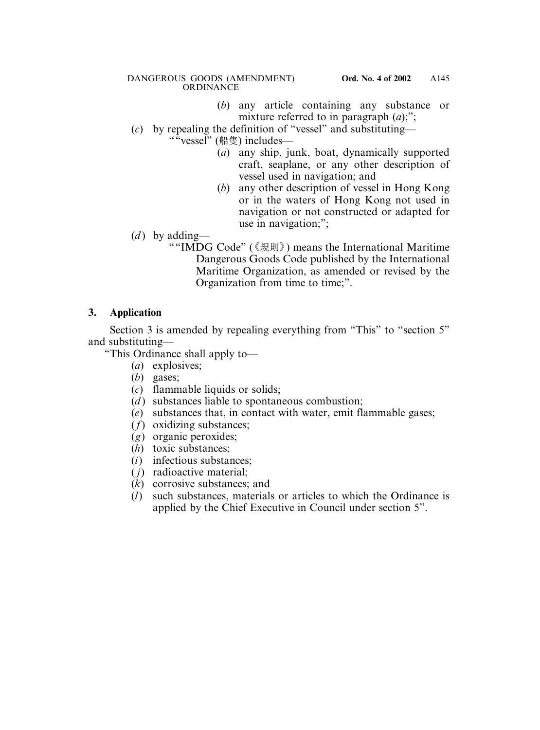#### DANGEROUS GOODS (AMENDMENT) **Ord. No. 4 of 2002 ORDINANCE**

- (*b*) any article containing any substance or mixture referred to in paragraph (*a*);";
- (*c*) by repealing the definition of "vessel" and substituting—
	- $````vessel"$  (船隻) includes—
		- (*a*) any ship, junk, boat, dynamically supported craft, seaplane, or any other description of vessel used in navigation; and
		- (*b*) any other description of vessel in Hong Kong or in the waters of Hong Kong not used in navigation or not constructed or adapted for use in navigation;";
- (*d*) by adding—
	- ""IMDG Code" (《規則》) means the International Maritime Dangerous Goods Code published by the International Maritime Organization, as amended or revised by the Organization from time to time;".

# **3. Application**

Section 3 is amended by repealing everything from "This" to "section 5" and substituting—

"This Ordinance shall apply to—

- (*a*) explosives;
- (*b*) gases;
- (*c*) flammable liquids or solids;
- (*d*) substances liable to spontaneous combustion:
- (*e*) substances that, in contact with water, emit flammable gases;
- (*f*) oxidizing substances;
- (*g*) organic peroxides;
- (*h*) toxic substances;
- (*i*) infectious substances;
- ( *j*) radioactive material;
- (*k*) corrosive substances; and
- (*l*) such substances, materials or articles to which the Ordinance is applied by the Chief Executive in Council under section 5".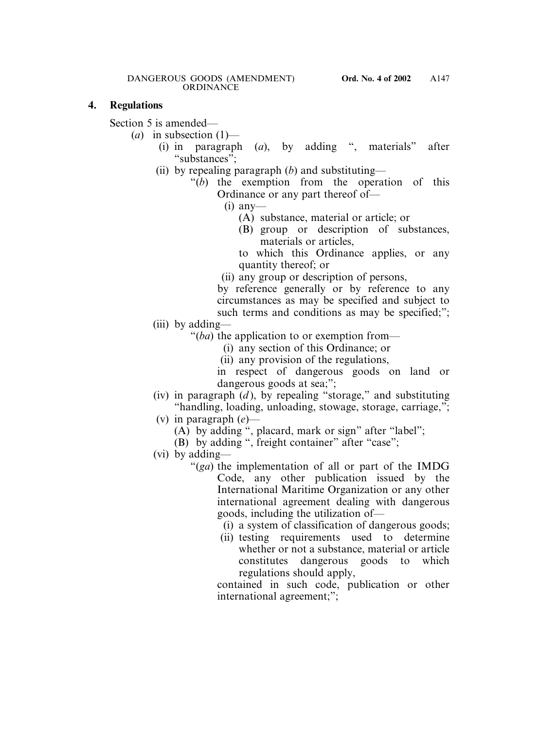#### **4. Regulations**

Section 5 is amended—

 $(a)$  in subsection  $(1)$ —

- (i) in paragraph (*a*), by adding ", materials" after "substances";
- (ii) by repealing paragraph (*b*) and substituting—
	- "(*b*) the exemption from the operation of this Ordinance or any part thereof of—

 $(i)$  any-

- (A) substance, material or article; or
- (B) group or description of substances, materials or articles,

to which this Ordinance applies, or any quantity thereof; or

(ii) any group or description of persons,

by reference generally or by reference to any circumstances as may be specified and subject to such terms and conditions as may be specified;";

(iii) by adding—

"(*ba*) the application to or exemption from—

- (i) any section of this Ordinance; or
- (ii) any provision of the regulations,

in respect of dangerous goods on land or dangerous goods at sea;";

- (iv) in paragraph  $(d)$ , by repealing "storage," and substituting "handling, loading, unloading, stowage, storage, carriage,";
- (v) in paragraph (*e*)—
	- (A) by adding ", placard, mark or sign" after "label";
	- (B) by adding ", freight container" after "case";
- (vi) by adding—
	- "(*ga*) the implementation of all or part of the IMDG Code, any other publication issued by the International Maritime Organization or any other international agreement dealing with dangerous goods, including the utilization of—
		- (i) a system of classification of dangerous goods;
		- (ii) testing requirements used to determine whether or not a substance, material or article constitutes dangerous goods to which regulations should apply,

contained in such code, publication or other international agreement;";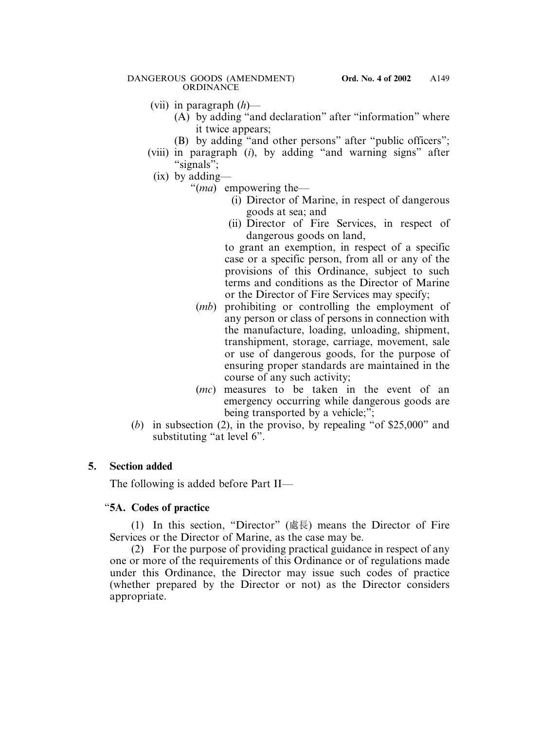- (vii) in paragraph (*h*)—
	- (A) by adding "and declaration" after "information" where it twice appears;
	- (B) by adding "and other persons" after "public officers";
- (viii) in paragraph (*i*), by adding "and warning signs" after "signals";
	- (ix) by adding—
		- "(*ma*) empowering the—
			- (i) Director of Marine, in respect of dangerous goods at sea; and
			- (ii) Director of Fire Services, in respect of dangerous goods on land,

to grant an exemption, in respect of a specific case or a specific person, from all or any of the provisions of this Ordinance, subject to such terms and conditions as the Director of Marine or the Director of Fire Services may specify;

- (*mb*) prohibiting or controlling the employment of any person or class of persons in connection with the manufacture, loading, unloading, shipment, transhipment, storage, carriage, movement, sale or use of dangerous goods, for the purpose of ensuring proper standards are maintained in the course of any such activity;
- (*mc*) measures to be taken in the event of an emergency occurring while dangerous goods are being transported by a vehicle;";
- (*b*) in subsection (2), in the proviso, by repealing "of \$25,000" and substituting "at level 6".

# **5. Section added**

The following is added before Part II—

# "**5A. Codes of practice**

(1) In this section, "Director" (處長) means the Director of Fire Services or the Director of Marine, as the case may be.

(2) For the purpose of providing practical guidance in respect of any one or more of the requirements of this Ordinance or of regulations made under this Ordinance, the Director may issue such codes of practice (whether prepared by the Director or not) as the Director considers appropriate.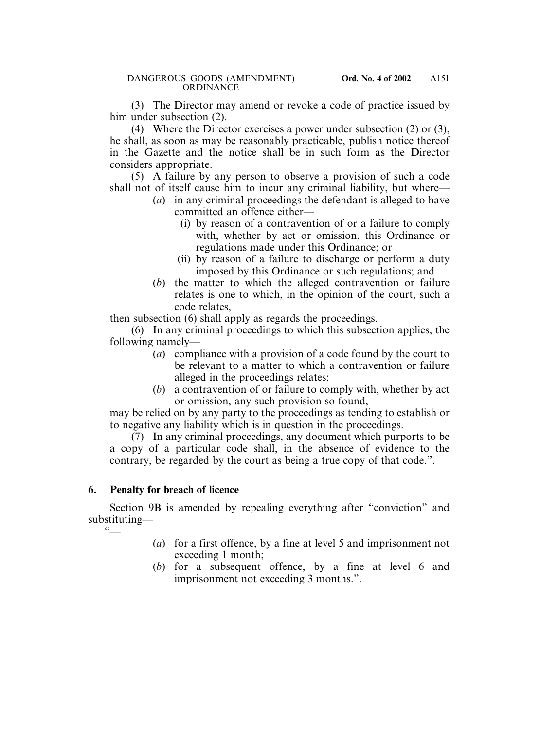(3) The Director may amend or revoke a code of practice issued by him under subsection (2).

(4) Where the Director exercises a power under subsection (2) or (3), he shall, as soon as may be reasonably practicable, publish notice thereof in the Gazette and the notice shall be in such form as the Director considers appropriate.

(5) A failure by any person to observe a provision of such a code shall not of itself cause him to incur any criminal liability, but where—

- (*a*) in any criminal proceedings the defendant is alleged to have committed an offence either—
	- (i) by reason of a contravention of or a failure to comply with, whether by act or omission, this Ordinance or regulations made under this Ordinance; or
	- (ii) by reason of a failure to discharge or perform a duty imposed by this Ordinance or such regulations; and
- (*b*) the matter to which the alleged contravention or failure relates is one to which, in the opinion of the court, such a code relates,

then subsection (6) shall apply as regards the proceedings.

(6) In any criminal proceedings to which this subsection applies, the following namely—

- (*a*) compliance with a provision of a code found by the court to be relevant to a matter to which a contravention or failure alleged in the proceedings relates;
- (*b*) a contravention of or failure to comply with, whether by act or omission, any such provision so found,

may be relied on by any party to the proceedings as tending to establish or to negative any liability which is in question in the proceedings.

(7) In any criminal proceedings, any document which purports to be a copy of a particular code shall, in the absence of evidence to the contrary, be regarded by the court as being a true copy of that code.".

# **6. Penalty for breach of licence**

Section 9B is amended by repealing everything after "conviction" and substituting—

 $66$ 

- (*a*) for a first offence, by a fine at level 5 and imprisonment not exceeding 1 month;
- (*b*) for a subsequent offence, by a fine at level 6 and imprisonment not exceeding 3 months.".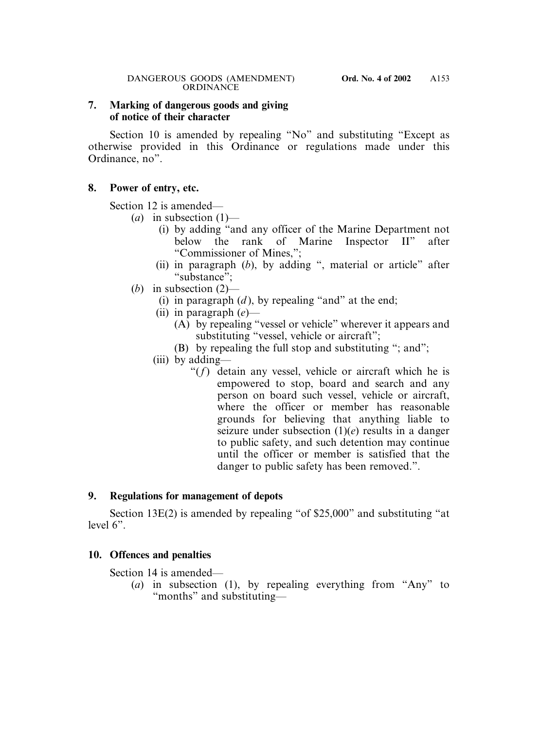### **7. Marking of dangerous goods and giving of notice of their character**

Section 10 is amended by repealing "No" and substituting "Except as otherwise provided in this Ordinance or regulations made under this Ordinance, no".

#### **8. Power of entry, etc.**

Section 12 is amended—

- $(a)$  in subsection  $(1)$ 
	- (i) by adding "and any officer of the Marine Department not below the rank of Marine Inspector II" after "Commissioner of Mines,";
	- (ii) in paragraph (*b*), by adding ", material or article" after "substance";
- (*b*) in subsection (2)—
	- (i) in paragraph  $(d)$ , by repealing "and" at the end;
	- (ii) in paragraph (*e*)—
		- (A) by repealing "vessel or vehicle" wherever it appears and substituting "vessel, vehicle or aircraft";
		- (B) by repealing the full stop and substituting "; and";
	- (iii) by adding—
		- "(*f*) detain any vessel, vehicle or aircraft which he is empowered to stop, board and search and any person on board such vessel, vehicle or aircraft, where the officer or member has reasonable grounds for believing that anything liable to seizure under subsection (1)(*e*) results in a danger to public safety, and such detention may continue until the officer or member is satisfied that the danger to public safety has been removed.".

### **9. Regulations for management of depots**

Section 13E(2) is amended by repealing "of \$25,000" and substituting "at level 6".

### **10. Offences and penalties**

Section 14 is amended—

(*a*) in subsection (1), by repealing everything from "Any" to "months" and substituting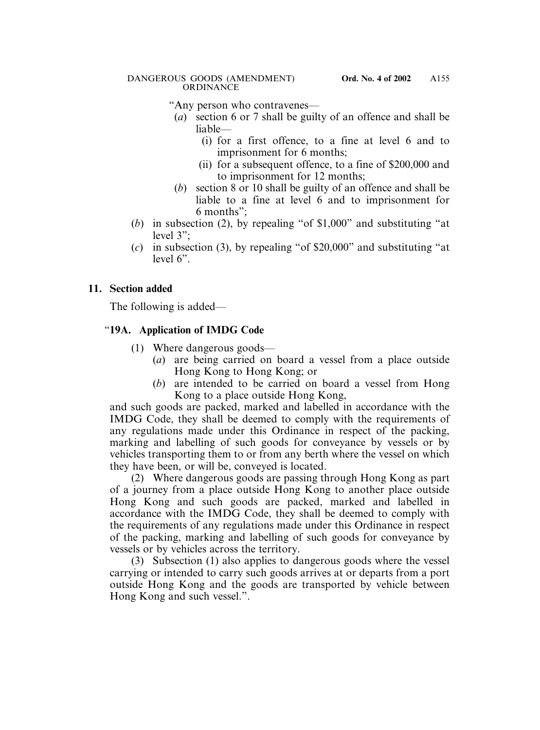"Any person who contravenes—

- (*a*) section 6 or 7 shall be guilty of an offence and shall be liable—
	- (i) for a first offence, to a fine at level 6 and to imprisonment for 6 months;
	- (ii) for a subsequent offence, to a fine of \$200,000 and to imprisonment for 12 months;
- (*b*) section 8 or 10 shall be guilty of an offence and shall be liable to a fine at level 6 and to imprisonment for 6 months";
- (*b*) in subsection (2), by repealing "of \$1,000" and substituting "at level 3";
- (*c*) in subsection (3), by repealing "of \$20,000" and substituting "at level 6".

# **11. Section added**

The following is added—

# "**19A. Application of IMDG Code**

- (1) Where dangerous goods—
	- (*a*) are being carried on board a vessel from a place outside Hong Kong to Hong Kong; or
	- (*b*) are intended to be carried on board a vessel from Hong Kong to a place outside Hong Kong,

and such goods are packed, marked and labelled in accordance with the IMDG Code, they shall be deemed to comply with the requirements of any regulations made under this Ordinance in respect of the packing, marking and labelling of such goods for conveyance by vessels or by vehicles transporting them to or from any berth where the vessel on which they have been, or will be, conveyed is located.

(2) Where dangerous goods are passing through Hong Kong as part of a journey from a place outside Hong Kong to another place outside Hong Kong and such goods are packed, marked and labelled in accordance with the IMDG Code, they shall be deemed to comply with the requirements of any regulations made under this Ordinance in respect of the packing, marking and labelling of such goods for conveyance by vessels or by vehicles across the territory.

(3) Subsection (1) also applies to dangerous goods where the vessel carrying or intended to carry such goods arrives at or departs from a port outside Hong Kong and the goods are transported by vehicle between Hong Kong and such vessel.".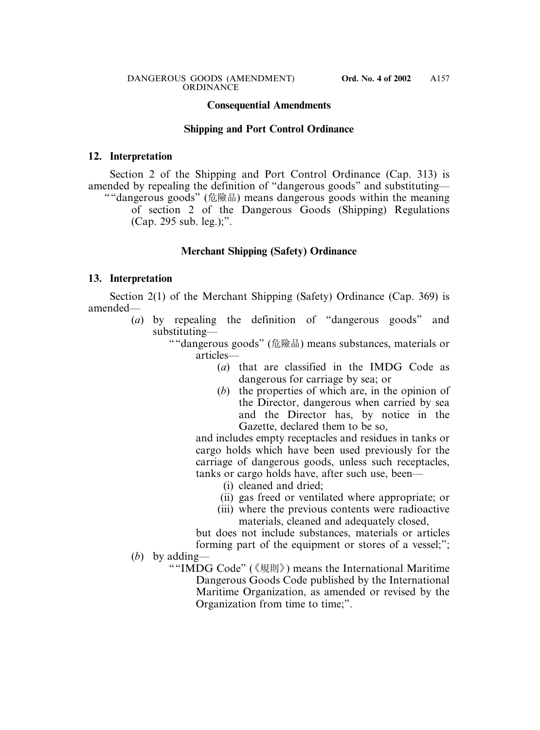#### **Consequential Amendments**

#### **Shipping and Port Control Ordinance**

#### **12. Interpretation**

Section 2 of the Shipping and Port Control Ordinance (Cap. 313) is amended by repealing the definition of "dangerous goods" and substituting—

""dangerous goods" (危險品) means dangerous goods within the meaning of section 2 of the Dangerous Goods (Shipping) Regulations (Cap. 295 sub. leg.);".

#### **Merchant Shipping (Safety) Ordinance**

#### **13. Interpretation**

Section 2(1) of the Merchant Shipping (Safety) Ordinance (Cap. 369) is amended—

> (*a*) by repealing the definition of "dangerous goods" and substituting—

> > ""dangerous goods" (危險品) means substances, materials or articles—

- (*a*) that are classified in the IMDG Code as dangerous for carriage by sea; or
- (*b*) the properties of which are, in the opinion of the Director, dangerous when carried by sea and the Director has, by notice in the Gazette, declared them to be so,

and includes empty receptacles and residues in tanks or cargo holds which have been used previously for the carriage of dangerous goods, unless such receptacles, tanks or cargo holds have, after such use, been—

- (i) cleaned and dried;
- (ii) gas freed or ventilated where appropriate; or
- (iii) where the previous contents were radioactive materials, cleaned and adequately closed,

but does not include substances, materials or articles forming part of the equipment or stores of a vessel;";

(*b*) by adding—

""IMDG Code" (《規則》) means the International Maritime Dangerous Goods Code published by the International Maritime Organization, as amended or revised by the Organization from time to time;".